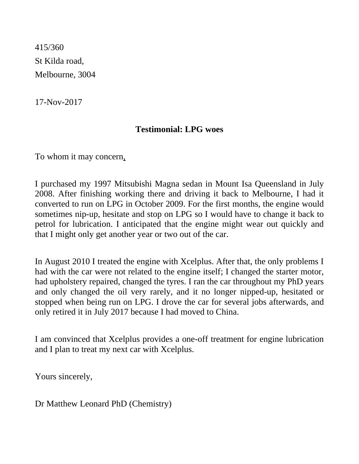415/360 St Kilda road, Melbourne, 3004

17-Nov-2017

## **Testimonial: LPG woes**

To whom it may concern,

I purchased my 1997 Mitsubishi Magna sedan in Mount Isa Queensland in July 2008. After finishing working there and driving it back to Melbourne, I had it converted to run on LPG in October 2009. For the first months, the engine would sometimes nip-up, hesitate and stop on LPG so I would have to change it back to petrol for lubrication. I anticipated that the engine might wear out quickly and that I might only get another year or two out of the car.

In August 2010 I treated the engine with Xcelplus. After that, the only problems I had with the car were not related to the engine itself; I changed the starter motor, had upholstery repaired, changed the tyres. I ran the car throughout my PhD years and only changed the oil very rarely, and it no longer nipped-up, hesitated or stopped when being run on LPG. I drove the car for several jobs afterwards, and only retired it in July 2017 because I had moved to China.

I am convinced that Xcelplus provides a one-off treatment for engine lubrication and I plan to treat my next car with Xcelplus.

Yours sincerely,

Dr Matthew Leonard PhD (Chemistry)